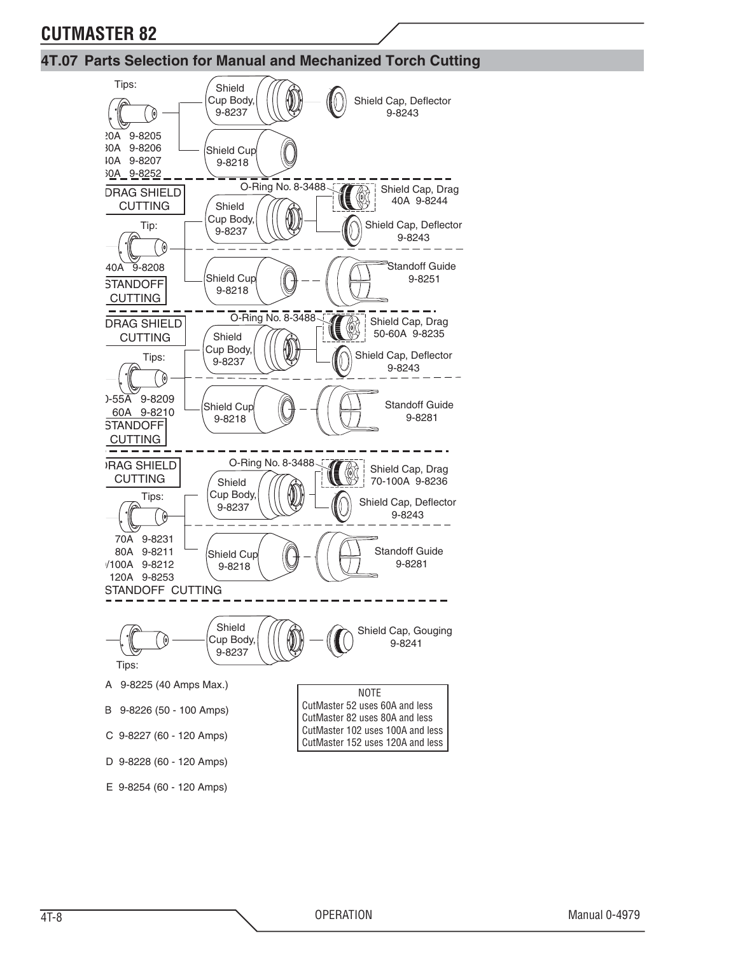#### **4T.07 Parts Selection for Manual and Mechanized Torch Cutting**

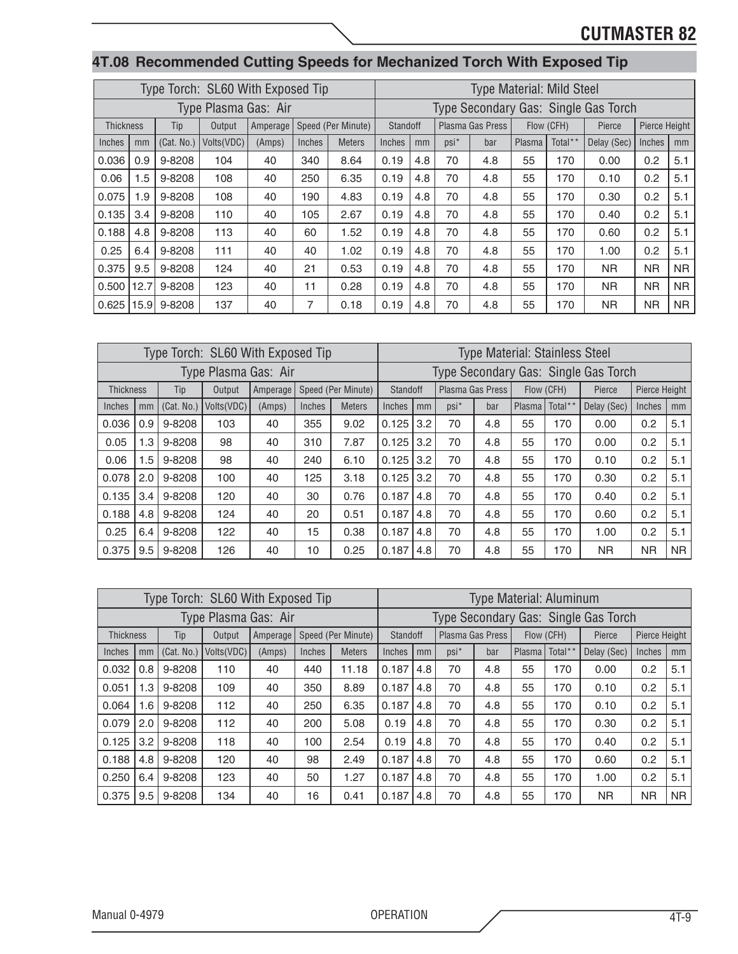|                                                           |                                                                     |     |            | Type Torch: SL60 With Exposed Tip |        |        |               |                 |     |         | Type Material: Mild Steel |        |            |                                      |               |     |
|-----------------------------------------------------------|---------------------------------------------------------------------|-----|------------|-----------------------------------|--------|--------|---------------|-----------------|-----|---------|---------------------------|--------|------------|--------------------------------------|---------------|-----|
|                                                           |                                                                     |     |            | Type Plasma Gas: Air              |        |        |               |                 |     |         |                           |        |            | Type Secondary Gas: Single Gas Torch |               |     |
|                                                           | Speed (Per Minute)<br><b>Thickness</b><br>Output<br>Amperage<br>Tip |     |            |                                   |        |        |               | <b>Standoff</b> |     |         | Plasma Gas Press          |        | Flow (CFH) | Pierce                               | Pierce Height |     |
| Inches                                                    |                                                                     | mm  | (Cat. No.) | Volts(VDC)                        | (Amps) | Inches | <b>Meters</b> | Inches          | mm  | $psi^*$ | bar                       | Plasma | Total**    | Delay (Sec)                          | Inches        | mm  |
|                                                           | 0.036                                                               | 0.9 | 9-8208     | 104                               | 40     | 340    | 8.64          | 0.19            | 4.8 | 70      | 4.8                       | 55     | 170        | 0.00                                 | 0.2           | 5.1 |
| 0.06                                                      |                                                                     | 1.5 | 9-8208     | 108                               | 40     | 250    | 6.35          | 0.19            | 4.8 | 70      | 4.8                       | 55     | 170        | 0.10                                 | 0.2           | 5.1 |
| 0.075                                                     |                                                                     | 1.9 | 9-8208     | 108                               | 40     | 190    | 4.83          | 0.19            | 4.8 | 70      | 4.8                       | 55     | 170        | 0.30                                 | 0.2           | 5.1 |
|                                                           | 0.135                                                               | 3.4 | 9-8208     | 110                               | 40     | 105    | 2.67          | 0.19            | 4.8 | 70      | 4.8                       | 55     | 170        | 0.40                                 | 0.2           | 5.1 |
|                                                           |                                                                     | 4.8 | 9-8208     | 113                               | 40     | 60     | 1.52          | 0.19            | 4.8 | 70      | 4.8                       | 55     | 170        | 0.60                                 | 0.2           | 5.1 |
| 0.188<br>9-8208<br>0.25<br>111<br>40<br>1.02<br>40<br>6.4 |                                                                     |     |            |                                   |        |        |               | 0.19            | 4.8 | 70      | 4.8                       | 55     | 170        | 1.00                                 | 0.2           | 5.1 |

 $0.375 \, | \, 9.5 \, | \, 9.8208 \, | \, 124 \, | \, 40 \, | \, 21 \, | \, 0.53 \, | \, 0.19 \, | \, 4.8 \, | \, 70 \, | \, 4.8 \, | \, 55 \, | \, 170 \, | \, NR \, | \, NR \, | \, NR \, N$ 0.500 |12.7| 9-8208 | 123 | 40 | 11 | 0.28 | 0.19 | 4.8 | 70 | 4.8 | 55 | 170 | NR | NR | NR  $0.625 \mid 15.9 \mid 9.8208 \mid 137 \mid 40 \mid 7 \mid 0.18 \mid 0.19 \mid 4.8 \mid 70 \mid 4.8 \mid 55 \mid 170 \mid NR \mid NR \mid NR$ 

#### **4T.08 Recommended Cutting Speeds for Mechanized Torch With Exposed Tip**

|                  |     |            | Type Torch: SL60 With Exposed Tip |          |        |                    |          |     |                  | <b>Type Material: Stainless Steel</b> |        |            |                                      |               |           |
|------------------|-----|------------|-----------------------------------|----------|--------|--------------------|----------|-----|------------------|---------------------------------------|--------|------------|--------------------------------------|---------------|-----------|
|                  |     |            | Type Plasma Gas: Air              |          |        |                    |          |     |                  |                                       |        |            | Type Secondary Gas: Single Gas Torch |               |           |
| <b>Thickness</b> |     | Tip        | Output                            | Amperage |        | Speed (Per Minute) | Standoff |     | Plasma Gas Press |                                       |        | Flow (CFH) | Pierce                               | Pierce Height |           |
| Inches           | mm  | (Cat. No.) | Volts (VDC)                       | (Amps)   | Inches | <b>Meters</b>      | Inches   | mm  | $psi^*$          | bar                                   | Plasma | Total**    | Delay (Sec)                          | Inches        | mm        |
| 0.036            | 0.9 | 9-8208     | 103                               | 40       | 355    | 9.02               | 0.125    | 3.2 | 70               | 4.8                                   | 55     | 170        | 0.00                                 | 0.2           | 5.1       |
| 0.05             | 1.3 | 9-8208     | 98                                | 40       | 310    | 7.87               | 0.125    | 3.2 | 70               | 4.8                                   | 55     | 170        | 0.00                                 | 0.2           | 5.1       |
| 0.06             | 1.5 | 9-8208     | 98                                | 40       | 240    | 6.10               | 0.125    | 3.2 | 70               | 4.8                                   | 55     | 170        | 0.10                                 | 0.2           | 5.1       |
| 0.078            | 2.0 | 9-8208     | 100                               | 40       | 125    | 3.18               | 0.125    | 3.2 | 70               | 4.8                                   | 55     | 170        | 0.30                                 | 0.2           | 5.1       |
| 0.135            | 3.4 | 9-8208     | 120                               | 40       | 30     | 0.76               | 0.187    | 4.8 | 70               | 4.8                                   | 55     | 170        | 0.40                                 | 0.2           | 5.1       |
| 0.188            | 4.8 | 9-8208     | 124                               | 40       | 20     | 0.51               | 0.187    | 4.8 | 70               | 4.8                                   | 55     | 170        | 0.60                                 | 0.2           | 5.1       |
| 0.25             | 6.4 | 9-8208     | 122                               | 40       | 15     | 0.38               | 0.187    | 4.8 | 70               | 4.8                                   | 55     | 170        | 1.00                                 | 0.2           | 5.1       |
| 0.375            | 9.5 | 9-8208     | 126                               | 40       | 10     | 0.25               | 0.187    | 4.8 | 70               | 4.8                                   | 55     | 170        | <b>NR</b>                            | <b>NR</b>     | <b>NR</b> |

|                  |     |            | Type Torch: SL60 With Exposed Tip |          |        |                    |          |     |      | <b>Type Material: Aluminum</b> |        |            |                                      |               |                |
|------------------|-----|------------|-----------------------------------|----------|--------|--------------------|----------|-----|------|--------------------------------|--------|------------|--------------------------------------|---------------|----------------|
|                  |     |            | Type Plasma Gas: Air              |          |        |                    |          |     |      |                                |        |            | Type Secondary Gas: Single Gas Torch |               |                |
| <b>Thickness</b> |     | Tip        | Output                            | Amperage |        | Speed (Per Minute) | Standoff |     |      | Plasma Gas Press               |        | Flow (CFH) | Pierce                               | Pierce Height |                |
| Inches           | mm  | (Cat. No.) | Volts (VDC)                       | (Amps)   | Inches | <b>Meters</b>      | Inches   | mm  | psi* | bar                            | Plasma | Total**    | Delay (Sec)                          | Inches        | mm             |
| 0.032            | 0.8 | 9-8208     | 110                               | 40       | 440    | 11.18              | 0.187    | 4.8 | 70   | 4.8                            | 55     | 170        | 0.00                                 | 0.2           | 5.1            |
| 0.051            | 1.3 | 9-8208     | 109                               | 40       | 350    | 8.89               | 0.187    | 4.8 | 70   | 4.8                            | 55     | 170        | 0.10                                 | 0.2           | 5.1            |
| 0.064            | 1.6 | 9-8208     | 112                               | 40       | 250    | 6.35               | 0.187    | 4.8 | 70   | 4.8                            | 55     | 170        | 0.10                                 | 0.2           | 5.1            |
| 0.079            | 2.0 | 9-8208     | 112                               | 40       | 200    | 5.08               | 0.19     | 4.8 | 70   | 4.8                            | 55     | 170        | 0.30                                 | 0.2           | 5.1            |
| 0.125            | 3.2 | 9-8208     | 118                               | 40       | 100    | 2.54               | 0.19     | 4.8 | 70   | 4.8                            | 55     | 170        | 0.40                                 | 0.2           | 5.1            |
| 0.188            | 4.8 | 9-8208     | 120                               | 40       | 98     | 2.49               | 0.187    | 4.8 | 70   | 4.8                            | 55     | 170        | 0.60                                 | 0.2           | 5.1            |
| 0.250            | 6.4 | 9-8208     | 123                               | 40       | 50     | 1.27               | 0.187    | 4.8 | 70   | 4.8                            | 55     | 170        | 1.00                                 | 0.2           | 5.1            |
| 0.375            | 9.5 | 9-8208     | 134                               | 40       | 16     | 0.41               | 0.187    | 4.8 | 70   | 4.8                            | 55     | 170        | <b>NR</b>                            | NR.           | N <sub>R</sub> |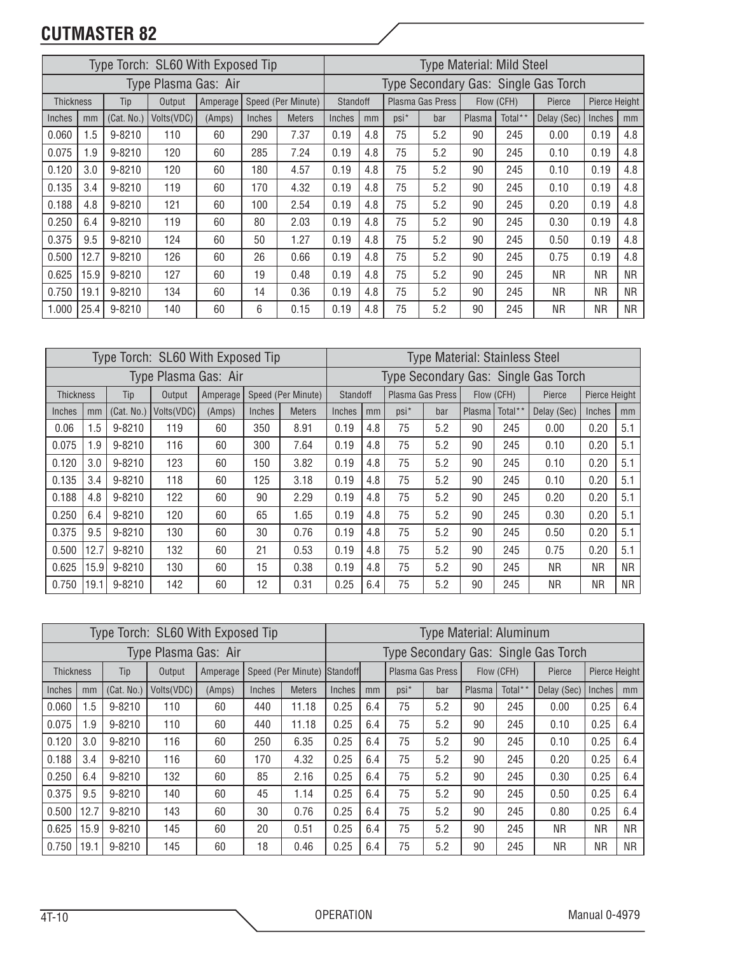|                  |      |            | Type Torch: SL60 With Exposed Tip |          |        |                    |          |     |         | <b>Type Material: Mild Steel</b> |        |            |                                      |               |           |
|------------------|------|------------|-----------------------------------|----------|--------|--------------------|----------|-----|---------|----------------------------------|--------|------------|--------------------------------------|---------------|-----------|
|                  |      |            | Type Plasma Gas: Air              |          |        |                    |          |     |         |                                  |        |            | Type Secondary Gas: Single Gas Torch |               |           |
| <b>Thickness</b> |      | Tip        | Output                            | Amperage |        | Speed (Per Minute) | Standoff |     |         | Plasma Gas Press                 |        | Flow (CFH) | Pierce                               | Pierce Height |           |
| Inches           | mm   | (Cat. No.) | Volts (VDC)                       | (Amps)   | Inches | <b>Meters</b>      | Inches   | mm  | $psi^*$ | bar                              | Plasma | Total**    | Delay (Sec)                          | Inches        | mm        |
| 0.060            | 1.5  | 9-8210     | 110                               | 60       | 290    | 7.37               | 0.19     | 4.8 | 75      | 5.2                              | 90     | 245        | 0.00                                 | 0.19          | 4.8       |
| 0.075            | 1.9  | $9 - 8210$ | 120                               | 60       | 285    | 7.24               | 0.19     | 4.8 | 75      | 5.2                              | 90     | 245        | 0.10                                 | 0.19          | 4.8       |
| 0.120            | 3.0  | 9-8210     | 120                               | 60       | 180    | 4.57               | 0.19     | 4.8 | 75      | 5.2                              | 90     | 245        | 0.10                                 | 0.19          | 4.8       |
| 0.135            | 3.4  | $9 - 8210$ | 119                               | 60       | 170    | 4.32               | 0.19     | 4.8 | 75      | 5.2                              | 90     | 245        | 0.10                                 | 0.19          | 4.8       |
| 0.188            | 4.8  | $9 - 8210$ | 121                               | 60       | 100    | 2.54               | 0.19     | 4.8 | 75      | 5.2                              | 90     | 245        | 0.20                                 | 0.19          | 4.8       |
| 0.250            | 6.4  | 9-8210     | 119                               | 60       | 80     | 2.03               | 0.19     | 4.8 | 75      | 5.2                              | 90     | 245        | 0.30                                 | 0.19          | 4.8       |
| 0.375            | 9.5  | $9 - 8210$ | 124                               | 60       | 50     | 1.27               | 0.19     | 4.8 | 75      | 5.2                              | 90     | 245        | 0.50                                 | 0.19          | 4.8       |
| 0.500            | 12.7 | $9 - 8210$ | 126                               | 60       | 26     | 0.66               | 0.19     | 4.8 | 75      | 5.2                              | 90     | 245        | 0.75                                 | 0.19          | 4.8       |
| 0.625            | 15.9 | 9-8210     | 127                               | 60       | 19     | 0.48               | 0.19     | 4.8 | 75      | 5.2                              | 90     | 245        | NR.                                  | NR.           | <b>NR</b> |
| 0.750            | 19.1 | 9-8210     | 134                               | 60       | 14     | 0.36               | 0.19     | 4.8 | 75      | 5.2                              | 90     | 245        | NR.                                  | <b>NR</b>     | <b>NR</b> |
| 1.000            | 25.4 | 9-8210     | 140                               | 60       | 6      | 0.15               | 0.19     | 4.8 | 75      | 5.2                              | 90     | 245        | <b>NR</b>                            | ΝR            | <b>NR</b> |

|                  |      |            | Type Torch: SL60 With Exposed Tip |          |        |                    |          |     |         | <b>Type Material: Stainless Steel</b> |        |            |                                      |               |     |
|------------------|------|------------|-----------------------------------|----------|--------|--------------------|----------|-----|---------|---------------------------------------|--------|------------|--------------------------------------|---------------|-----|
|                  |      |            | Type Plasma Gas: Air              |          |        |                    |          |     |         |                                       |        |            | Type Secondary Gas: Single Gas Torch |               |     |
| <b>Thickness</b> |      | Tip        | Output                            | Amperage |        | Speed (Per Minute) | Standoff |     |         | Plasma Gas Press                      |        | Flow (CFH) | Pierce                               | Pierce Height |     |
| Inches           | mm   | (Cat. No.) | Volts (VDC)                       | (Amps)   | Inches | <b>Meters</b>      | Inches   | mm  | $psi^*$ | bar                                   | Plasma | Total**    | Delay (Sec)                          | Inches        | mm  |
| 0.06             | 1.5  | 9-8210     | 119                               | 60       | 350    | 8.91               | 0.19     | 4.8 | 75      | 5.2                                   | 90     | 245        | 0.00                                 | 0.20          | 5.1 |
| 0.075            | 1.9  | 9-8210     | 116                               | 60       | 300    | 7.64               | 0.19     | 4.8 | 75      | 5.2                                   | 90     | 245        | 0.10                                 | 0.20          | 5.1 |
| 0.120            | 3.0  | 9-8210     | 123                               | 60       | 150    | 3.82               | 0.19     | 4.8 | 75      | 5.2                                   | 90     | 245        | 0.10                                 | 0.20          | 5.1 |
| 0.135            | 3.4  | 9-8210     | 118                               | 60       | 125    | 3.18               | 0.19     | 4.8 | 75      | 5.2                                   | 90     | 245        | 0.10                                 | 0.20          | 5.1 |
| 0.188            | 4.8  | 9-8210     | 122                               | 60       | 90     | 2.29               | 0.19     | 4.8 | 75      | 5.2                                   | 90     | 245        | 0.20                                 | 0.20          | 5.1 |
| 0.250            | 6.4  | 9-8210     | 120                               | 60       | 65     | 1.65               | 0.19     | 4.8 | 75      | 5.2                                   | 90     | 245        | 0.30                                 | 0.20          | 5.1 |
| 0.375            | 9.5  | 9-8210     | 130                               | 60       | 30     | 0.76               | 0.19     | 4.8 | 75      | 5.2                                   | 90     | 245        | 0.50                                 | 0.20          | 5.1 |
| 0.500            | 12.7 | 9-8210     | 132                               | 60       | 21     | 0.53               | 0.19     | 4.8 | 75      | 5.2                                   | 90     | 245        | 0.75                                 | 0.20          | 5.1 |
| 0.625            | 15.9 | 9-8210     | 130                               | 60       | 15     | 0.38               | 0.19     | 4.8 | 75      | 5.2                                   | 90     | 245        | NR.                                  | ΝR            | NR. |
| 0.750            | 19.1 | 9-8210     | 142                               | 60       | 12     | 0.31               | 0.25     | 6.4 | 75      | 5.2                                   | 90     | 245        | <b>NR</b>                            | ΝR            | ΝR  |

|                  |      |            | Type Torch: SL60 With Exposed Tip |          |        |                    |          |     |         | <b>Type Material: Aluminum</b> |        |            |                                      |               |           |
|------------------|------|------------|-----------------------------------|----------|--------|--------------------|----------|-----|---------|--------------------------------|--------|------------|--------------------------------------|---------------|-----------|
|                  |      |            | Type Plasma Gas: Air              |          |        |                    |          |     |         |                                |        |            | Type Secondary Gas: Single Gas Torch |               |           |
| <b>Thickness</b> |      | Tip        | Output                            | Amperage |        | Speed (Per Minute) | Standoff |     |         | Plasma Gas Press               |        | Flow (CFH) | Pierce                               | Pierce Height |           |
| Inches           | mm   | (Cat. No.) | Volts(VDC)                        | (Amps)   | Inches | <b>Meters</b>      | Inches   | mm  | $psi^*$ | bar                            | Plasma | Total**    | Delay (Sec)                          | Inches        | mm        |
| 0.060            | 1.5  | 9-8210     | 110                               | 60       | 440    | 11.18              | 0.25     | 6.4 | 75      | 5.2                            | 90     | 245        | 0.00                                 | 0.25          | 6.4       |
| 0.075            | 1.9  | 9-8210     | 110                               | 60       | 440    | 11.18              | 0.25     | 6.4 | 75      | 5.2                            | 90     | 245        | 0.10                                 | 0.25          | 6.4       |
| 0.120            | 3.0  | $9 - 8210$ | 116                               | 60       | 250    | 6.35               | 0.25     | 6.4 | 75      | 5.2                            | 90     | 245        | 0.10                                 | 0.25          | 6.4       |
| 0.188            | 3.4  | $9 - 8210$ | 116                               | 60       | 170    | 4.32               | 0.25     | 6.4 | 75      | 5.2                            | 90     | 245        | 0.20                                 | 0.25          | 6.4       |
| 0.250            | 6.4  | 9-8210     | 132                               | 60       | 85     | 2.16               | 0.25     | 6.4 | 75      | 5.2                            | 90     | 245        | 0.30                                 | 0.25          | 6.4       |
| 0.375            | 9.5  | 9-8210     | 140                               | 60       | 45     | 1.14               | 0.25     | 6.4 | 75      | 5.2                            | 90     | 245        | 0.50                                 | 0.25          | 6.4       |
| 0.500            | 12.7 | 9-8210     | 143                               | 60       | 30     | 0.76               | 0.25     | 6.4 | 75      | 5.2                            | 90     | 245        | 0.80                                 | 0.25          | 6.4       |
| 0.625            | 15.9 | 9-8210     | 145                               | 60       | 20     | 0.51               | 0.25     | 6.4 | 75      | 5.2                            | 90     | 245        | NR.                                  | NR.           | <b>NR</b> |
| 0.750            | 19.1 | $9 - 8210$ | 145                               | 60       | 18     | 0.46               | 0.25     | 6.4 | 75      | 5.2                            | 90     | 245        | <b>NR</b>                            | ΝR            | NR.       |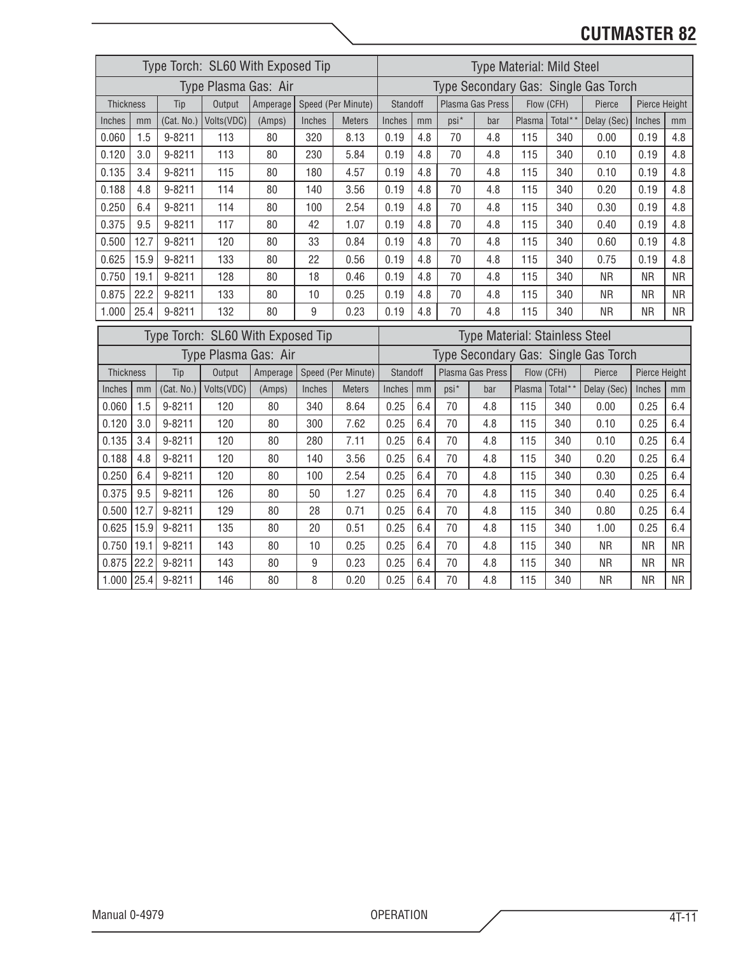|                  |      |            | Type Torch: SL60 With Exposed Tip |          |        |                    |                                                     |     | <b>Type Material: Mild Steel</b> |                  |            |            |                                      |               |           |
|------------------|------|------------|-----------------------------------|----------|--------|--------------------|-----------------------------------------------------|-----|----------------------------------|------------------|------------|------------|--------------------------------------|---------------|-----------|
|                  |      |            | Type Plasma Gas: Air              |          |        |                    |                                                     |     |                                  |                  |            |            | Type Secondary Gas: Single Gas Torch |               |           |
| <b>Thickness</b> |      | Tip        | Output                            | Amperage |        | Speed (Per Minute) | Standoff                                            |     |                                  | Plasma Gas Press |            | Flow (CFH) | Pierce                               | Pierce Height |           |
| Inches           | mm   | (Cat. No.) | Volts(VDC)                        | (Amps)   | Inches | <b>Meters</b>      | Inches                                              | mm  | psi*                             | bar              | Plasma     | Total**    | Delay (Sec)                          | Inches        | mm        |
| 0.060            | 1.5  | 9-8211     | 113                               | 80       | 320    | 8.13               | 0.19                                                | 4.8 | 70                               | 4.8              | 115        | 340        | 0.00                                 | 0.19          | 4.8       |
| 0.120            | 3.0  | 9-8211     | 113                               | 80       | 230    | 5.84               | 0.19                                                | 4.8 | 70                               | 4.8              | 115        | 340        | 0.10                                 | 0.19          | 4.8       |
| 0.135            | 3.4  | 9-8211     | 115                               | 80       | 180    | 4.57               | 0.19                                                | 4.8 | 70                               | 4.8              | 115        | 340        | 0.10                                 | 0.19          | 4.8       |
| 0.188            | 4.8  | 9-8211     | 114                               | 80       | 140    | 3.56               | 0.19                                                | 4.8 | 70                               | 4.8              | 115        | 340        | 0.20                                 | 0.19          | 4.8       |
| 0.250            | 6.4  | 9-8211     | 114                               | 80       | 100    | 2.54               | 0.19                                                | 4.8 | 70                               | 4.8              | 115        | 340        | 0.30                                 | 0.19          | 4.8       |
| 0.375            | 9.5  | 9-8211     | 117                               | 80       | 42     | 1.07               | 0.19                                                | 4.8 | 70                               | 4.8              | 115        | 340        | 0.40                                 | 0.19          | 4.8       |
| 0.500            | 12.7 | 9-8211     | 120                               | 80       | 33     | 0.84               | 0.19                                                | 4.8 | 70                               | 4.8              | 115        | 340        | 0.60                                 | 0.19          | 4.8       |
| 0.625            | 15.9 | 9-8211     | 133                               | 80       | 22     | 0.56               | 70<br>4.8<br>0.19<br>4.8<br>115<br>340<br>0.75      |     |                                  |                  |            |            |                                      | 0.19          | 4.8       |
| 0.750            | 19.1 | $9 - 8211$ | 128                               | 80       | 18     | 0.46               | 0.19<br>4.8<br>70<br>4.8<br>115<br>340<br><b>NR</b> |     |                                  |                  |            |            |                                      | <b>NR</b>     | <b>NR</b> |
| 0.875            | 22.2 | 9-8211     | 133                               | 80       | 10     | 0.25               | 0.19                                                | 4.8 | 70                               | 4.8              | 115        | 340        | <b>NR</b>                            | <b>NR</b>     | <b>NR</b> |
| 1.000            | 25.4 | 9-8211     | 132                               | 80       | 9      | 0.23               | 0.19                                                | 4.8 | 70                               | 4.8              | 115        | 340        | <b>NR</b>                            | <b>NR</b>     | <b>NR</b> |
|                  |      |            |                                   |          |        |                    |                                                     |     |                                  |                  |            |            |                                      |               |           |
|                  |      |            | Type Torch: SL60 With Exposed Tip |          |        |                    | Type Material: Stainless Steel                      |     |                                  |                  |            |            |                                      |               |           |
|                  |      |            | Type Plasma Gas: Air              |          |        |                    |                                                     |     |                                  |                  |            |            | Type Secondary Gas: Single Gas Torch |               |           |
| Thickness        |      | Tip        | Output                            | Amperage |        | Speed (Per Minute) | Standoff                                            |     |                                  | Plasma Gas Press | Flow (CFH) |            | Pierce                               | Pierce Height |           |
| Inches           | mm   | (Cat. No.) | Volts(VDC)                        | (Amps)   | Inches | <b>Meters</b>      | Inches                                              | mm  | $psi^*$                          | bar              | Plasma     | Total**    | Delay (Sec)                          | Inches        | mm        |
| 0.060            | 1.5  | 9-8211     | 120                               | 80       | 340    | 8.64               | 0.25                                                | 6.4 | 70                               | 4.8              | 115        | 340        | 0.00                                 | 0.25          | 6.4       |
| 0.120            | 3.0  | 9-8211     | 120                               | 80       | 300    | 7.62               | 0.25                                                | 6.4 | 70                               | 4.8              | 115        | 340        | 0.10                                 | 0.25          | 6.4       |
| 0.135            | 3.4  | 9-8211     | 120                               | 80       | 280    | 7.11               | 0.25                                                | 6.4 | 70                               | 4.8              | 115        | 340        | 0.10                                 | 0.25          | 6.4       |
| 0.188            | 4.8  | 9-8211     | 120                               | 80       | 140    | 3.56               | 0.25                                                | 6.4 | 70                               | 4.8              | 115        | 340        | 0.20                                 | 0.25          | 6.4       |
| 0.250            | 6.4  | 9-8211     | 120                               | 80       | 100    | 2.54               | 0.25                                                | 6.4 | 70                               | 4.8              | 115        | 340        | 0.30                                 | 0.25          | 6.4       |
| 0.375            | 9.5  | 9-8211     | 126                               | 80       | 50     | 1.27               | 0.25                                                | 6.4 | 70                               | 4.8              | 115        | 340        | 0.40                                 | 0.25          | 6.4       |
| 0.500            | 12.7 | 9-8211     | 129                               | 80       | 28     | 0.71               | 0.25                                                | 6.4 | 70                               | 4.8              | 115        | 340        | 0.80                                 | 0.25          | 6.4       |
| 0.625            | 15.9 | $9 - 8211$ | 135                               | 80       | 20     | 0.51               | 0.25                                                | 6.4 | 70                               | 4.8              | 115        | 340        | 1.00                                 | 0.25          | 6.4       |
| 0.750            | 19.1 | 9-8211     | 143                               | 80       | 10     | 0.25               | 0.25                                                | 6.4 | 70                               | 4.8              | 115        | 340        | <b>NR</b>                            | <b>NR</b>     | <b>NR</b> |
| 0.875            | 22.2 | 9-8211     | 143                               | 80       | 9      | 0.23               | 0.25                                                | 6.4 | 70                               | 4.8              | 115        | 340        | <b>NR</b>                            | <b>NR</b>     | <b>NR</b> |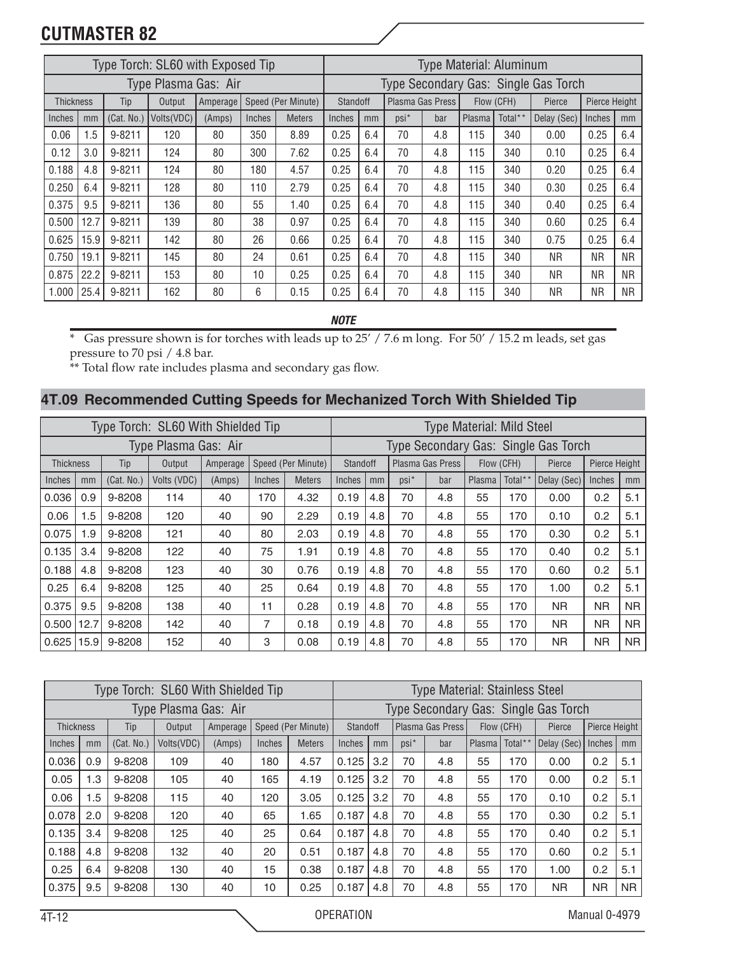|                  |      |            | Type Torch: SL60 with Exposed Tip |          |               |                    |               |     |         | <b>Type Material: Aluminum</b> |        |            |                                      |               |           |
|------------------|------|------------|-----------------------------------|----------|---------------|--------------------|---------------|-----|---------|--------------------------------|--------|------------|--------------------------------------|---------------|-----------|
|                  |      |            | Type Plasma Gas: Air              |          |               |                    |               |     |         |                                |        |            | Type Secondary Gas: Single Gas Torch |               |           |
| <b>Thickness</b> |      | Tip        | Output                            | Amperage |               | Speed (Per Minute) | Standoff      |     |         | Plasma Gas Press               |        | Flow (CFH) | Pierce                               | Pierce Height |           |
| Inches           | mm   | (Cat. No.) | Volts(VDC)                        | (Amps)   | <b>Inches</b> | <b>Meters</b>      | <b>Inches</b> | mm  | $psi^*$ | bar                            | Plasma | Total**    | Delay (Sec)                          | Inches        | mm        |
| 0.06             | 1.5  | 9-8211     | 120                               | 80       | 350           | 8.89               | 0.25          | 6.4 | 70      | 4.8                            | 115    | 340        | 0.00                                 | 0.25          | 6.4       |
| 0.12             | 3.0  | 9-8211     | 124                               | 80       | 300           | 7.62               | 0.25          | 6.4 | 70      | 4.8                            | 115    | 340        | 0.10                                 | 0.25          | 6.4       |
| 0.188            | 4.8  | 9-8211     | 124                               | 80       | 180           | 4.57               | 0.25          | 6.4 | 70      | 4.8                            | 115    | 340        | 0.20                                 | 0.25          | 6.4       |
| 0.250            | 6.4  | 9-8211     | 128                               | 80       | 110           | 2.79               | 0.25          | 6.4 | 70      | 4.8                            | 115    | 340        | 0.30                                 | 0.25          | 6.4       |
| 0.375            | 9.5  | 9-8211     | 136                               | 80       | 55            | 1.40               | 0.25          | 6.4 | 70      | 4.8                            | 115    | 340        | 0.40                                 | 0.25          | 6.4       |
| 0.500            | 12.7 | 9-8211     | 139                               | 80       | 38            | 0.97               | 0.25          | 6.4 | 70      | 4.8                            | 115    | 340        | 0.60                                 | 0.25          | 6.4       |
| 0.625            | 15.9 | $9 - 8211$ | 142                               | 80       | 26            | 0.66               | 0.25          | 6.4 | 70      | 4.8                            | 115    | 340        | 0.75                                 | 0.25          | 6.4       |
| 0.750            | 19.1 | $9 - 8211$ | 145                               | 80       | 24            | 0.61               | 0.25          | 6.4 | 70      | 4.8                            | 115    | 340        | NR.                                  | <b>NR</b>     | <b>NR</b> |
| 0.875            | 22.2 | $9 - 8211$ | 153                               | 80       | 10            | 0.25               | 0.25          | 6.4 | 70      | 4.8                            | 115    | 340        | <b>NR</b>                            | <b>NR</b>     | <b>NR</b> |
| 1.000            | 25.4 | $9 - 8211$ | 162                               | 80       | 6             | 0.15               | 0.25          | 6.4 | 70      | 4.8                            | 115    | 340        | <b>NR</b>                            | <b>NR</b>     | <b>NR</b> |

*NOTE*

\* Gas pressure shown is for torches with leads up to 25' / 7.6 m long. For 50' / 15.2 m leads, set gas pressure to 70 psi / 4.8 bar.

\*\* Total flow rate includes plasma and secondary gas flow.

#### **4T.09 Recommended Cutting Speeds for Mechanized Torch With Shielded Tip**

|           |      |            | Type Torch: SL60 With Shielded Tip |          |        |                    |                 |     |         | <b>Type Material: Mild Steel</b> |            |         |                                      |               |                |
|-----------|------|------------|------------------------------------|----------|--------|--------------------|-----------------|-----|---------|----------------------------------|------------|---------|--------------------------------------|---------------|----------------|
|           |      |            | Type Plasma Gas: Air               |          |        |                    |                 |     |         |                                  |            |         | Type Secondary Gas: Single Gas Torch |               |                |
| Thickness |      | Tip        | Output                             | Amperage |        | Speed (Per Minute) | <b>Standoff</b> |     |         | Plasma Gas Press                 | Flow (CFH) |         | Pierce                               | Pierce Height |                |
| Inches    | mm   | (Cat. No.) | Volts (VDC)                        | (Amps)   | Inches | <b>Meters</b>      | Inches          | mm  | $psi^*$ | bar                              | Plasma     | Total** | Delay (Sec)                          | Inches        | mm             |
| 0.036     | 0.9  | 9-8208     | 114                                | 40       | 170    | 4.32               | 0.19            | 4.8 | 70      | 4.8                              | 55         | 170     | 0.00                                 | 0.2           | 5.1            |
| 0.06      | 1.5  | 9-8208     | 120                                | 40       | 90     | 2.29               | 0.19            | 4.8 | 70      | 4.8                              | 55         | 170     | 0.10                                 | 0.2           | 5.1            |
| 0.075     | 1.9  | 9-8208     | 121                                | 40       | 80     | 2.03               | 0.19            | 4.8 | 70      | 4.8                              | 55         | 170     | 0.30                                 | 0.2           | 5.1            |
| 0.135     | 3.4  | 9-8208     | 122                                | 40       | 75     | 1.91               | 0.19            | 4.8 | 70      | 4.8                              | 55         | 170     | 0.40                                 | 0.2           | 5.1            |
| 0.188     | 4.8  | 9-8208     | 123                                | 40       | 30     | 0.76               | 0.19            | 4.8 | 70      | 4.8                              | 55         | 170     | 0.60                                 | 0.2           | 5.1            |
| 0.25      | 6.4  | 9-8208     | 125                                | 40       | 25     | 0.64               | 0.19            | 4.8 | 70      | 4.8                              | 55         | 170     | 1.00                                 | 0.2           | 5.1            |
| 0.375     | 9.5  | 9-8208     | 138                                | 40       | 11     | 0.28               | 0.19            | 4.8 | 70      | 4.8                              | 55         | 170     | N <sub>R</sub>                       | <b>NR</b>     | <b>NR</b>      |
| 0.500     | 12.7 | 9-8208     | 142                                | 40       | 7      | 0.18               | 0.19            | 4.8 | 70      | 4.8                              | 55         | 170     | NR.                                  | <b>NR</b>     | <b>NR</b>      |
| l 0.625 l | 15.9 | 9-8208     | 152                                | 40       | 3      | 0.08               | 0.19            | 4.8 | 70      | 4.8                              | 55         | 170     | <b>NR</b>                            | <b>NR</b>     | N <sub>R</sub> |

|                  |     |            | Type Torch: SL60 With Shielded Tip |          |        |                    |          |     |         | Type Material: Stainless Steel |                     |            |                                      |               |           |
|------------------|-----|------------|------------------------------------|----------|--------|--------------------|----------|-----|---------|--------------------------------|---------------------|------------|--------------------------------------|---------------|-----------|
|                  |     |            | Type Plasma Gas: Air               |          |        |                    |          |     |         |                                |                     |            | Type Secondary Gas: Single Gas Torch |               |           |
| <b>Thickness</b> |     | Tip        | Output                             | Amperage |        | Speed (Per Minute) | Standoff |     |         | Plasma Gas Press               |                     | Flow (CFH) | Pierce                               | Pierce Height |           |
| Inches           | mm  | (Cat. No.) | Volts (VDC)                        | (Amps)   | Inches | <b>Meters</b>      | Inches   | mm  | $psi^*$ | bar                            | Plasma <sup>1</sup> | Total**    | Delay (Sec)   Inches                 |               | mm        |
| 0.036            | 0.9 | 9-8208     | 109                                | 40       | 180    | 4.57               | 0.125    | 3.2 | 70      | 4.8                            | 55                  | 170        | 0.00                                 | 0.2           | 5.1       |
| 0.05             | 1.3 | 9-8208     | 105                                | 40       | 165    | 4.19               | 0.125    | 3.2 | 70      | 4.8                            | 55                  | 170        | 0.00                                 | 0.2           | 5.1       |
| 0.06             | 1.5 | 9-8208     | 115                                | 40       | 120    | 3.05               | 0.125    | 3.2 | 70      | 4.8                            | 55                  | 170        | 0.10                                 | 0.2           | 5.1       |
| 0.078            | 2.0 | 9-8208     | 120                                | 40       | 65     | 1.65               | 0.187    | 4.8 | 70      | 4.8                            | 55                  | 170        | 0.30                                 | 0.2           | 5.1       |
| 0.135            | 3.4 | 9-8208     | 125                                | 40       | 25     | 0.64               | 0.187    | 4.8 | 70      | 4.8                            | 55                  | 170        | 0.40                                 | 0.2           | 5.1       |
| 0.188            | 4.8 | 9-8208     | 132                                | 40       | 20     | 0.51               | 0.187    | 4.8 | 70      | 4.8                            | 55                  | 170        | 0.60                                 | 0.2           | 5.1       |
| 0.25             | 6.4 | 9-8208     | 130                                | 40       | 15     | 0.38               | 0.187    | 4.8 | 70      | 4.8                            | 55                  | 170        | 1.00                                 | 0.2           | 5.1       |
| 0.375            | 9.5 | 9-8208     | 130                                | 40       | 10     | 0.25               | 0.187    | 4.8 | 70      | 4.8                            | 55                  | 170        | ΝR                                   | <b>NR</b>     | <b>NR</b> |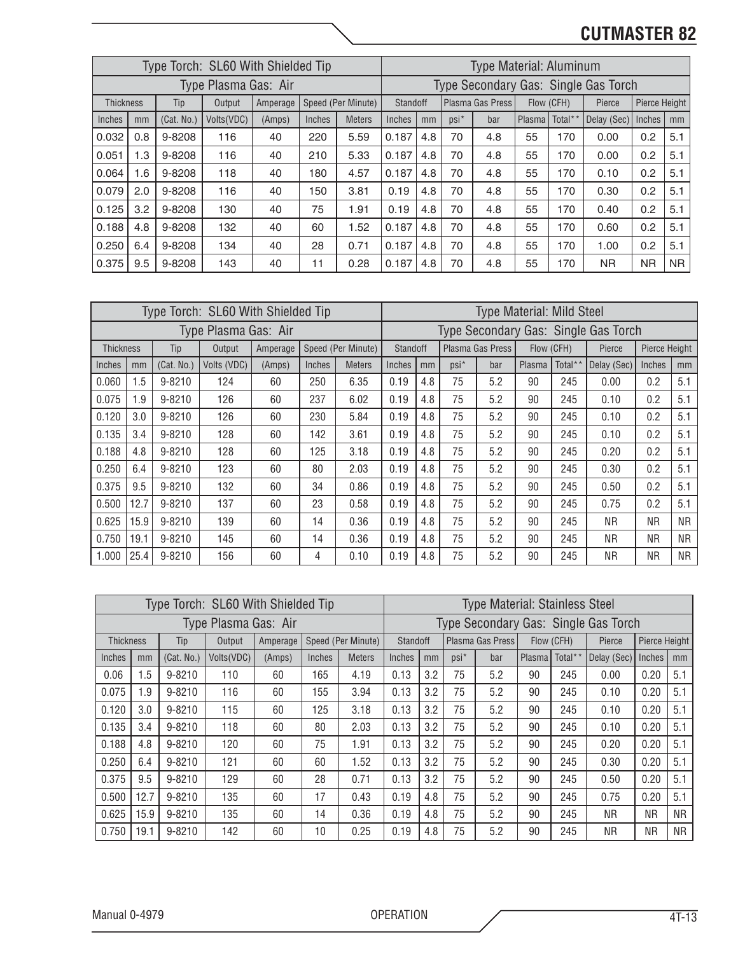|                  |     |            | Type Torch: SL60 With Shielded Tip |          |        |                    |          |     |         | <b>Type Material: Aluminum</b> |            |         |                                      |               |           |
|------------------|-----|------------|------------------------------------|----------|--------|--------------------|----------|-----|---------|--------------------------------|------------|---------|--------------------------------------|---------------|-----------|
|                  |     |            | Type Plasma Gas: Air               |          |        |                    |          |     |         |                                |            |         | Type Secondary Gas: Single Gas Torch |               |           |
| <b>Thickness</b> |     | Tip        | Output                             | Amperage |        | Speed (Per Minute) | Standoff |     |         | Plasma Gas Press               | Flow (CFH) |         | Pierce                               | Pierce Height |           |
| Inches           | mm  | (Cat. No.) | Volts(VDC)                         | (Amps)   | Inches | <b>Meters</b>      | Inches   | mm  | $psi^*$ | bar                            | Plasma     | Total** | Delay (Sec)                          | Inches        | mm        |
| 0.032            | 0.8 | 9-8208     | 116                                | 40       | 220    | 5.59               | 0.187    | 4.8 | 70      | 4.8                            | 55         | 170     | 0.00                                 | 0.2           | 5.1       |
| 0.051            | 1.3 | 9-8208     | 116                                | 40       | 210    | 5.33               | 0.187    | 4.8 | 70      | 4.8                            | 55         | 170     | 0.00                                 | 0.2           | 5.1       |
| 0.064            | 1.6 | 9-8208     | 118                                | 40       | 180    | 4.57               | 0.187    | 4.8 | 70      | 4.8                            | 55         | 170     | 0.10                                 | 0.2           | 5.1       |
| 0.079            | 2.0 | 9-8208     | 116                                | 40       | 150    | 3.81               | 0.19     | 4.8 | 70      | 4.8                            | 55         | 170     | 0.30                                 | 0.2           | 5.1       |
| 0.125            | 3.2 | 9-8208     | 130                                | 40       | 75     | 1.91               | 0.19     | 4.8 | 70      | 4.8                            | 55         | 170     | 0.40                                 | 0.2           | 5.1       |
| 0.188            | 4.8 | 9-8208     | 132                                | 40       | 60     | 1.52               | 0.187    | 4.8 | 70      | 4.8                            | 55         | 170     | 0.60                                 | 0.2           | 5.1       |
| 0.250            | 6.4 | 9-8208     | 134                                | 40       | 28     | 0.71               | 0.187    | 4.8 | 70      | 4.8                            | 55         | 170     | 1.00                                 | 0.2           | 5.1       |
| 0.375            | 9.5 | 9-8208     | 143                                | 40       | 11     | 0.28               | 0.187    | 4.8 | 70      | 4.8                            | 55         | 170     | <b>NR</b>                            | <b>NR</b>     | <b>NR</b> |

|                  |      |            | Type Torch: SL60 With Shielded Tip |          |        |                    |                 |     |         | <b>Type Material: Mild Steel</b> |        |            |                                      |               |           |
|------------------|------|------------|------------------------------------|----------|--------|--------------------|-----------------|-----|---------|----------------------------------|--------|------------|--------------------------------------|---------------|-----------|
|                  |      |            | Type Plasma Gas: Air               |          |        |                    |                 |     |         |                                  |        |            | Type Secondary Gas: Single Gas Torch |               |           |
| <b>Thickness</b> |      | Tip        | Output                             | Amperage |        | Speed (Per Minute) | <b>Standoff</b> |     |         | Plasma Gas Press                 |        | Flow (CFH) | Pierce                               | Pierce Height |           |
| Inches           | mm   | (Cat. No.) | Volts (VDC)                        | (Amps)   | Inches | <b>Meters</b>      | Inches          | mm  | $psi^*$ | bar                              | Plasma | Total**    | Delay (Sec)                          | Inches        | mm        |
| 0.060            | 1.5  | $9 - 8210$ | 124                                | 60       | 250    | 6.35               | 0.19            | 4.8 | 75      | 5.2                              | 90     | 245        | 0.00                                 | 0.2           | 5.1       |
| 0.075            | 1.9  | 9-8210     | 126                                | 60       | 237    | 6.02               | 0.19            | 4.8 | 75      | 5.2                              | 90     | 245        | 0.10                                 | 0.2           | 5.1       |
| 0.120            | 3.0  | 9-8210     | 126                                | 60       | 230    | 5.84               | 0.19            | 4.8 | 75      | 5.2                              | 90     | 245        | 0.10                                 | 0.2           | 5.1       |
| 0.135            | 3.4  | 9-8210     | 128                                | 60       | 142    | 3.61               | 0.19            | 4.8 | 75      | 5.2                              | 90     | 245        | 0.10                                 | 0.2           | 5.1       |
| 0.188            | 4.8  | 9-8210     | 128                                | 60       | 125    | 3.18               | 0.19            | 4.8 | 75      | 5.2                              | 90     | 245        | 0.20                                 | 0.2           | 5.1       |
| 0.250            | 6.4  | 9-8210     | 123                                | 60       | 80     | 2.03               | 0.19            | 4.8 | 75      | 5.2                              | 90     | 245        | 0.30                                 | 0.2           | 5.1       |
| 0.375            | 9.5  | 9-8210     | 132                                | 60       | 34     | 0.86               | 0.19            | 4.8 | 75      | 5.2                              | 90     | 245        | 0.50                                 | 0.2           | 5.1       |
| 0.500            | 12.7 | 9-8210     | 137                                | 60       | 23     | 0.58               | 0.19            | 4.8 | 75      | 5.2                              | 90     | 245        | 0.75                                 | 0.2           | 5.1       |
| 0.625            | 15.9 | 9-8210     | 139                                | 60       | 14     | 0.36               | 0.19            | 4.8 | 75      | 5.2                              | 90     | 245        | ΝR                                   | ΝR            | <b>NR</b> |
| 0.750            | 19.1 | 9-8210     | 145                                | 60       | 14     | 0.36               | 0.19            | 4.8 | 75      | 5.2                              | 90     | 245        | <b>NR</b>                            | ΝR            | <b>NR</b> |
| 1.000            | 25.4 | 9-8210     | 156                                | 60       | 4      | 0.10               | 0.19            | 4.8 | 75      | 5.2                              | 90     | 245        | ΝR                                   | ΝR            | NR.       |

| Type Torch: SL60 With Shielded Tip |                      |            |            |          |        |                    |        | <b>Type Material: Stainless Steel</b> |         |                    |                     |            |             |                      |           |  |
|------------------------------------|----------------------|------------|------------|----------|--------|--------------------|--------|---------------------------------------|---------|--------------------|---------------------|------------|-------------|----------------------|-----------|--|
|                                    | Type Plasma Gas: Air |            |            |          |        |                    |        | Type Secondary Gas: Single Gas Torch  |         |                    |                     |            |             |                      |           |  |
| <b>Thickness</b>                   |                      | Tip        | Output     | Amperage |        | Speed (Per Minute) |        | Standoff                              |         | Plasma Gas Press I |                     | Flow (CFH) | Pierce      | <b>Pierce Height</b> |           |  |
| Inches                             | mm                   | (Cat. No.) | Volts(VDC) | (Amps)   | Inches | <b>Meters</b>      | Inches | mm                                    | $psi^*$ | bar                | Plasma <sup> </sup> | Total**    | Delay (Sec) | Inches               | mm        |  |
| 0.06                               | 1.5                  | 9-8210     | 110        | 60       | 165    | 4.19               | 0.13   | 3.2                                   | 75      | 5.2                | 90                  | 245        | 0.00        | 0.20                 | 5.1       |  |
| 0.075                              | 1.9                  | 9-8210     | 116        | 60       | 155    | 3.94               | 0.13   | 3.2                                   | 75      | 5.2                | 90                  | 245        | 0.10        | 0.20                 | 5.1       |  |
| 0.120                              | 3.0                  | 9-8210     | 115        | 60       | 125    | 3.18               | 0.13   | 3.2                                   | 75      | 5.2                | 90                  | 245        | 0.10        | 0.20                 | 5.1       |  |
| 0.135                              | 3.4                  | 9-8210     | 118        | 60       | 80     | 2.03               | 0.13   | 3.2                                   | 75      | 5.2                | 90                  | 245        | 0.10        | 0.20                 | 5.1       |  |
| 0.188                              | 4.8                  | 9-8210     | 120        | 60       | 75     | 1.91               | 0.13   | 3.2                                   | 75      | 5.2                | 90                  | 245        | 0.20        | 0.20                 | 5.1       |  |
| 0.250                              | 6.4                  | 9-8210     | 121        | 60       | 60     | 1.52               | 0.13   | 3.2                                   | 75      | 5.2                | 90                  | 245        | 0.30        | 0.20                 | 5.1       |  |
| 0.375                              | 9.5                  | 9-8210     | 129        | 60       | 28     | 0.71               | 0.13   | 3.2                                   | 75      | 5.2                | 90                  | 245        | 0.50        | 0.20                 | 5.1       |  |
| 0.500                              | 12.7                 | 9-8210     | 135        | 60       | 17     | 0.43               | 0.19   | 4.8                                   | 75      | 5.2                | 90                  | 245        | 0.75        | 0.20                 | 5.1       |  |
| 0.625                              | 15.9                 | 9-8210     | 135        | 60       | 14     | 0.36               | 0.19   | 4.8                                   | 75      | 5.2                | 90                  | 245        | <b>NR</b>   | NR.                  | <b>NR</b> |  |
| 0.750                              | 19.1                 | 9-8210     | 142        | 60       | 10     | 0.25               | 0.19   | 4.8                                   | 75      | 5.2                | 90                  | 245        | <b>NR</b>   | <b>NR</b>            | <b>NR</b> |  |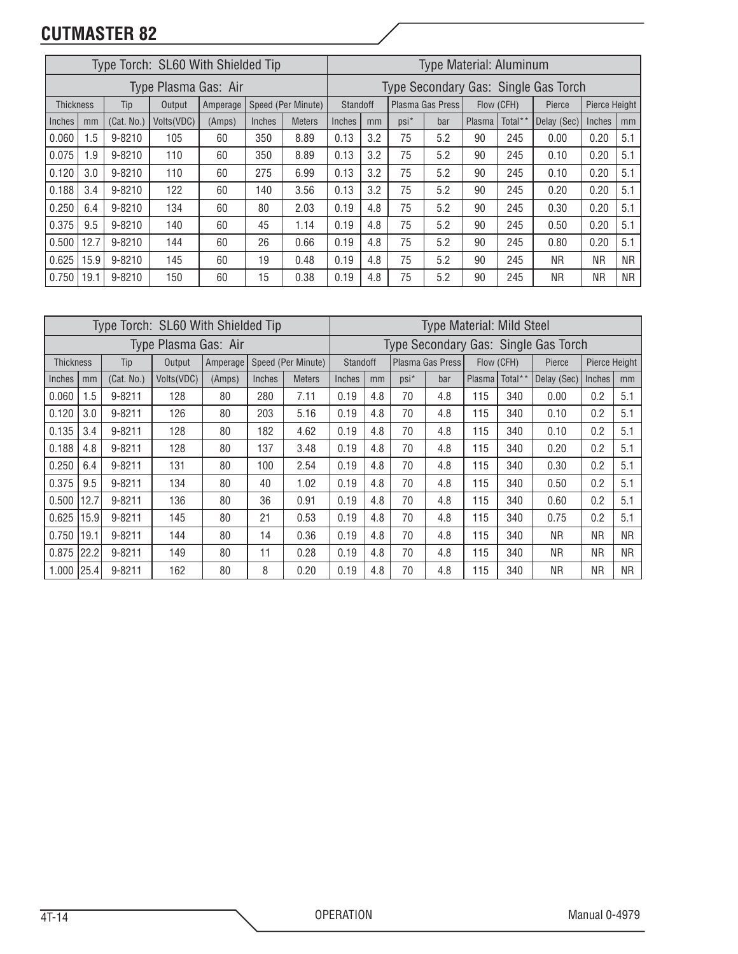| Type Torch: SL60 With Shielded Tip |      |            |            |          |        |                    |                                      | <b>Type Material: Aluminum</b> |                  |     |            |         |             |           |               |  |
|------------------------------------|------|------------|------------|----------|--------|--------------------|--------------------------------------|--------------------------------|------------------|-----|------------|---------|-------------|-----------|---------------|--|
| Type Plasma Gas: Air               |      |            |            |          |        |                    | Type Secondary Gas: Single Gas Torch |                                |                  |     |            |         |             |           |               |  |
| <b>Thickness</b>                   |      | Tip        | Output     | Amperage |        | Speed (Per Minute) | <b>Standoff</b>                      |                                | Plasma Gas Press |     | Flow (CFH) |         | Pierce      |           | Pierce Height |  |
| Inches                             | mm   | (Cat. No.) | Volts(VDC) | (Amps)   | Inches | <b>Meters</b>      | Inches                               | mm                             | $psi^*$          | bar | Plasma     | Total** | Delay (Sec) | Inches    | mm            |  |
| 0.060                              | 1.5  | $9 - 8210$ | 105        | 60       | 350    | 8.89               | 0.13                                 | 3.2                            | 75               | 5.2 | 90         | 245     | 0.00        | 0.20      | 5.1           |  |
| 0.075                              | 1.9  | 9-8210     | 110        | 60       | 350    | 8.89               | 0.13                                 | 3.2                            | 75               | 5.2 | 90         | 245     | 0.10        | 0.20      | 5.1           |  |
| 0.120                              | 3.0  | 9-8210     | 110        | 60       | 275    | 6.99               | 0.13                                 | 3.2                            | 75               | 5.2 | 90         | 245     | 0.10        | 0.20      | 5.1           |  |
| 0.188                              | 3.4  | $9 - 8210$ | 122        | 60       | 140    | 3.56               | 0.13                                 | 3.2                            | 75               | 5.2 | 90         | 245     | 0.20        | 0.20      | 5.1           |  |
| 0.250                              | 6.4  | $9 - 8210$ | 134        | 60       | 80     | 2.03               | 0.19                                 | 4.8                            | 75               | 5.2 | 90         | 245     | 0.30        | 0.20      | 5.1           |  |
| 0.375                              | 9.5  | 9-8210     | 140        | 60       | 45     | 1.14               | 0.19                                 | 4.8                            | 75               | 5.2 | 90         | 245     | 0.50        | 0.20      | 5.1           |  |
| 0.500                              | 12.7 | 9-8210     | 144        | 60       | 26     | 0.66               | 0.19                                 | 4.8                            | 75               | 5.2 | 90         | 245     | 0.80        | 0.20      | 5.1           |  |
| 0.625                              | 15.9 | 9-8210     | 145        | 60       | 19     | 0.48               | 0.19                                 | 4.8                            | 75               | 5.2 | 90         | 245     | <b>NR</b>   | <b>NR</b> | <b>NR</b>     |  |
| 0.750                              | 19.1 | 9-8210     | 150        | 60       | 15     | 0.38               | 0.19                                 | 4.8                            | 75               | 5.2 | 90         | 245     | ΝR          | <b>NR</b> | <b>NR</b>     |  |

| Type Torch: SL60 With Shielded Tip |                      |            |             |          |        |                    | <b>Type Material: Mild Steel</b> |                                      |         |                  |        |            |                         |           |           |  |
|------------------------------------|----------------------|------------|-------------|----------|--------|--------------------|----------------------------------|--------------------------------------|---------|------------------|--------|------------|-------------------------|-----------|-----------|--|
|                                    | Type Plasma Gas: Air |            |             |          |        |                    |                                  | Type Secondary Gas: Single Gas Torch |         |                  |        |            |                         |           |           |  |
| <b>Thickness</b>                   |                      | Tip        | Output      | Amperage |        | Speed (Per Minute) |                                  | <b>Standoff</b>                      |         | Plasma Gas Press |        | Flow (CFH) | Pierce Height<br>Pierce |           |           |  |
| Inches                             | mm                   | (Cat. No.) | Volts (VDC) | (Amps)   | Inches | <b>Meters</b>      | Inches                           | mm                                   | $psi^*$ | bar              | Plasma | Total**    | Delay (Sec)             | Inches    | mm        |  |
| 0.060                              | 1.5                  | $9 - 8211$ | 128         | 80       | 280    | 7.11               | 0.19                             | 4.8                                  | 70      | 4.8              | 115    | 340        | 0.00                    | 0.2       | 5.1       |  |
| 0.120                              | 3.0                  | $9 - 8211$ | 126         | 80       | 203    | 5.16               | 0.19                             | 4.8                                  | 70      | 4.8              | 115    | 340        | 0.10                    | 0.2       | 5.1       |  |
| 0.135                              | 3.4                  | $9 - 8211$ | 128         | 80       | 182    | 4.62               | 0.19                             | 4.8                                  | 70      | 4.8              | 115    | 340        | 0.10                    | 0.2       | 5.1       |  |
| 0.188                              | 4.8                  | 9-8211     | 128         | 80       | 137    | 3.48               | 0.19                             | 4.8                                  | 70      | 4.8              | 115    | 340        | 0.20                    | 0.2       | 5.1       |  |
| 0.250                              | 6.4                  | $9 - 8211$ | 131         | 80       | 100    | 2.54               | 0.19                             | 4.8                                  | 70      | 4.8              | 115    | 340        | 0.30                    | 0.2       | 5.1       |  |
| 0.375                              | 9.5                  | $9 - 8211$ | 134         | 80       | 40     | 1.02               | 0.19                             | 4.8                                  | 70      | 4.8              | 115    | 340        | 0.50                    | 0.2       | 5.1       |  |
| 0.500                              | 12.7                 | $9 - 8211$ | 136         | 80       | 36     | 0.91               | 0.19                             | 4.8                                  | 70      | 4.8              | 115    | 340        | 0.60                    | 0.2       | 5.1       |  |
| 0.625                              | 15.9                 | $9 - 8211$ | 145         | 80       | 21     | 0.53               | 0.19                             | 4.8                                  | 70      | 4.8              | 115    | 340        | 0.75                    | 0.2       | 5.1       |  |
| 0.750                              | 19.1                 | $9 - 8211$ | 144         | 80       | 14     | 0.36               | 0.19                             | 4.8                                  | 70      | 4.8              | 115    | 340        | NR.                     | NR.       | <b>NR</b> |  |
| 0.875                              | 22.2                 | $9 - 8211$ | 149         | 80       | 11     | 0.28               | 0.19                             | 4.8                                  | 70      | 4.8              | 115    | 340        | NR.                     | <b>NR</b> | <b>NR</b> |  |
| 1.000                              | 25.4                 | $9 - 8211$ | 162         | 80       | 8      | 0.20               | 0.19                             | 4.8                                  | 70      | 4.8              | 115    | 340        | <b>NR</b>               | <b>NR</b> | <b>NR</b> |  |